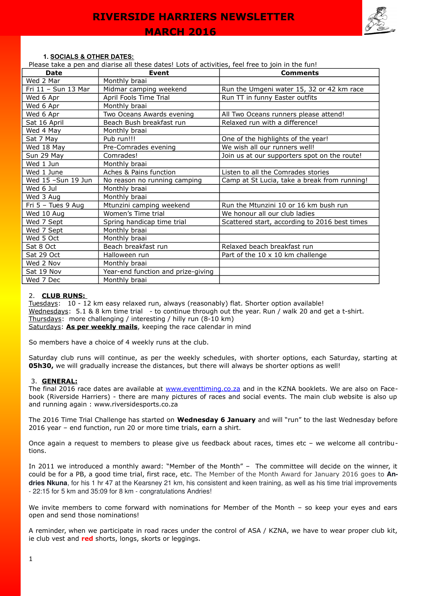

#### **1. SOCIALS & OTHER DATES:**

Please take a pen and diarise all these dates! Lots of activities, feel free to join in the fun!

| <b>Date</b>         | <b>Event</b>                       | <b>Comments</b>                               |
|---------------------|------------------------------------|-----------------------------------------------|
| Wed 2 Mar           | Monthly braai                      |                                               |
| Fri 11 - Sun 13 Mar | Midmar camping weekend             | Run the Umgeni water 15, 32 or 42 km race     |
| Wed 6 Apr           | April Fools Time Trial             | Run TT in funny Easter outfits                |
| Wed 6 Apr           | Monthly braai                      |                                               |
| Wed 6 Apr           | Two Oceans Awards evening          | All Two Oceans runners please attend!         |
| Sat 16 April        | Beach Bush breakfast run           | Relaxed run with a difference!                |
| Wed 4 May           | Monthly braai                      |                                               |
| Sat 7 May           | Pub run!!!                         | One of the highlights of the year!            |
| Wed 18 May          | Pre-Comrades evening               | We wish all our runners well!                 |
| Sun 29 May          | Comrades!                          | Join us at our supporters spot on the route!  |
| Wed 1 Jun           | Monthly braai                      |                                               |
| Wed 1 June          | Aches & Pains function             | Listen to all the Comrades stories            |
| Wed 15 -Sun 19 Jun  | No reason no running camping       | Camp at St Lucia, take a break from running!  |
| Wed 6 Jul           | Monthly braai                      |                                               |
| Wed 3 Aug           | Monthly braai                      |                                               |
| Fri 5 - Tues 9 Aug  | Mtunzini camping weekend           | Run the Mtunzini 10 or 16 km bush run         |
| Wed 10 Aug          | Women's Time trial                 | We honour all our club ladies                 |
| Wed 7 Sept          | Spring handicap time trial         | Scattered start, according to 2016 best times |
| Wed 7 Sept          | Monthly braai                      |                                               |
| Wed 5 Oct           | Monthly braai                      |                                               |
| Sat 8 Oct           | Beach breakfast run                | Relaxed beach breakfast run                   |
| Sat 29 Oct          | Halloween run                      | Part of the 10 x 10 km challenge              |
| Wed 2 Nov           | Monthly braai                      |                                               |
| Sat 19 Nov          | Year-end function and prize-giving |                                               |
| Wed 7 Dec           | Monthly braai                      |                                               |

#### 2. **CLUB RUNS:**

Tuesdays: 10 - 12 km easy relaxed run, always (reasonably) flat. Shorter option available! Wednesdays: 5.1 & 8 km time trial - to continue through out the year. Run / walk 20 and get a t-shirt. Thursdays: more challenging / interesting / hilly run (8-10 km) Saturdays: As per weekly mails, keeping the race calendar in mind

So members have a choice of 4 weekly runs at the club.

Saturday club runs will continue, as per the weekly schedules, with shorter options, each Saturday, starting at **05h30,** we will gradually increase the distances, but there will always be shorter options as well!

#### 3. **GENERAL:**

The final 2016 race dates are available at [www.eventtiming.co.za](http://www.eventtiming.co.za/) and in the KZNA booklets. We are also on Facebook (Riverside Harriers) - there are many pictures of races and social events. The main club website is also up and running again : www.riversidesports.co.za

The 2016 Time Trial Challenge has started on **Wednesday 6 January** and will "run" to the last Wednesday before 2016 year – end function, run 20 or more time trials, earn a shirt.

Once again a request to members to please give us feedback about races, times etc – we welcome all contributions.

In 2011 we introduced a monthly award: "Member of the Month" – The committee will decide on the winner, it could be for a PB, a good time trial, first race, etc. The Member of the Month Award for January 2016 goes to **Andries Nkuna**, for his 1 hr 47 at the Kearsney 21 km, his consistent and keen training, as well as his time trial improvements 22:15 for 5 km and 35:09 for 8 km congratulations Andries!

We invite members to come forward with nominations for Member of the Month – so keep your eyes and ears open and send those nominations!

A reminder, when we participate in road races under the control of ASA / KZNA, we have to wear proper club kit, ie club vest and **red** shorts, longs, skorts or leggings.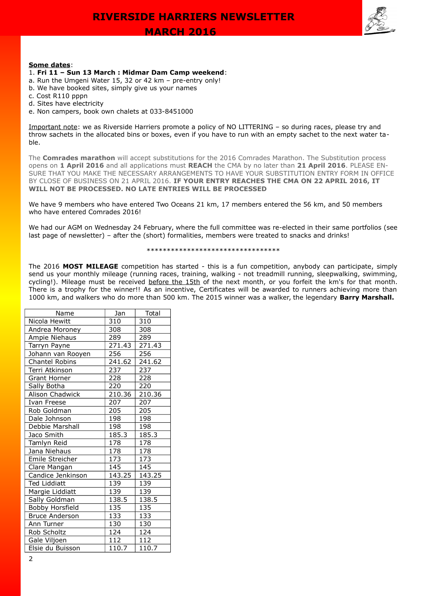

## **Some dates**:

## 1. **Fri 11 – Sun 13 March : Midmar Dam Camp weekend**:

- a. Run the Umgeni Water 15, 32 or 42 km pre-entry only!
- b. We have booked sites, simply give us your names
- c. Cost R110 pppn
- d. Sites have electricity
- e. Non campers, book own chalets at 033-8451000

Important note: we as Riverside Harriers promote a policy of NO LITTERING – so during races, please try and throw sachets in the allocated bins or boxes, even if you have to run with an empty sachet to the next water table.

The **Comrades marathon** will accept substitutions for the 2016 Comrades Marathon. The Substitution process opens on **1 April 2016** and all applications must **REACH** the CMA by no later than **21 April 2016**. PLEASE EN-SURE THAT YOU MAKE THE NECESSARY ARRANGEMENTS TO HAVE YOUR SUBSTITUTION ENTRY FORM IN OFFICE BY CLOSE OF BUSINESS ON 21 APRIL 2016. **IF YOUR ENTRY REACHES THE CMA ON 22 APRIL 2016, IT WILL NOT BE PROCESSED. NO LATE ENTRIES WILL BE PROCESSED**

We have 9 members who have entered Two Oceans 21 km, 17 members entered the 56 km, and 50 members who have entered Comrades 2016!

We had our AGM on Wednesday 24 February, where the full committee was re-elected in their same portfolios (see last page of newsletter) – after the (short) formalities, members were treated to snacks and drinks!

#### \*\*\*\*\*\*\*\*\*\*\*\*\*\*\*\*\*\*\*\*\*\*\*\*\*\*\*\*\*\*\*\*\*

The 2016 **MOST MILEAGE** competition has started - this is a fun competition, anybody can participate, simply send us your monthly mileage (running races, training, walking - not treadmill running, sleepwalking, swimming, cycling!). Mileage must be received before the 15th of the next month, or you forfeit the km's for that month. There is a trophy for the winner!! As an incentive, Certificates will be awarded to runners achieving more than 1000 km, and walkers who do more than 500 km. The 2015 winner was a walker, the legendary **Barry Marshall.**

| Name                  | Jan    | Total              |
|-----------------------|--------|--------------------|
| Nicola Hewitt         | 310    | 310                |
| Andrea Moroney        | 308    | 308                |
| Ampie Niehaus         | 289    | 289                |
| Tarryn Payne          | 271.43 | 271.43             |
| Johann van Rooyen     | 256    | 256                |
| Chantel Robins        | 241.62 | 241.62             |
| Terri Atkinson        | 237    | 237                |
| <b>Grant Horner</b>   | 228    | 228                |
| Sally Botha           | 220    | 220                |
| Alison Chadwick       | 210.36 | 210.36             |
| Ivan Freese           | 207    | 207                |
| Rob Goldman           | 205    | 205                |
| Dale Johnson          | 198    | 198                |
| Debbie Marshall       | 198    | 198                |
| Jaco Smith            | 185.3  | $185.\overline{3}$ |
| Tamlyn Reid           | 178    | 178                |
| Jana Niehaus          | 178    | 178                |
| Emile Streicher       | 173    | 173                |
| Clare Mangan          | 145    | 145                |
| Candice Jenkinson     | 143.25 | 143.25             |
| <b>Ted Liddiatt</b>   | 139    | 139                |
| Margie Liddiatt       | 139    | 139                |
| Sally Goldman         | 138.5  | 138.5              |
| Bobby Horsfield       | 135    | 135                |
| <b>Bruce Anderson</b> | 133    | 133                |
| Ann Turner            | 130    | 130                |
| Rob Scholtz           | 124    | 124                |
| Gale Viljoen          | 112    | 112                |
| Elsie du Buisson      | 110.7  | 110.7              |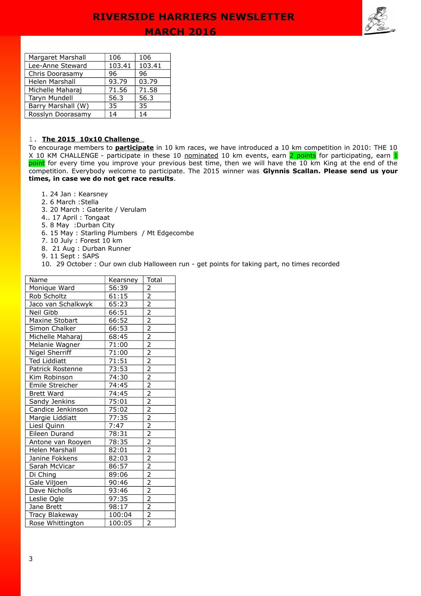

| Margaret Marshall  | 106    | 106    |
|--------------------|--------|--------|
| Lee-Anne Steward   | 103.41 | 103.41 |
| Chris Doorasamy    | 96     | 96     |
| Helen Marshall     | 93.79  | 03.79  |
| Michelle Maharaj   | 71.56  | 71.58  |
| Taryn Mundell      | 56.3   | 56.3   |
| Barry Marshall (W) | 35     | 35     |
| Rosslyn Doorasamy  | 14     | 14     |

## 1. **The 2015 10x10 Challenge**

To encourage members to **participate** in 10 km races, we have introduced a 10 km competition in 2010: THE 10 X 10 KM CHALLENGE - participate in these 10 nominated 10 km events, earn 2 points for participating, earn 1 point for every time you improve your previous best time, then we will have the 10 km King at the end of the competition. Everybody welcome to participate. The 2015 winner was **Glynnis Scallan. Please send us your times, in case we do not get race results**.

- 1. 24 Jan : Kearsney
- 2. 6 March :Stella
- 3. 20 March : Gaterite / Verulam
- 4.. 17 April : Tongaat
- 5. 8 May :Durban City
- 6. 15 May : Starling Plumbers / Mt Edgecombe
- 7. 10 July : Forest 10 km
- 8. 21 Aug : Durban Runner
- 9. 11 Sept : SAPS

10. 29 October : Our own club Halloween run - get points for taking part, no times recorded

| Name                | Kearsney | Total                                                                                                                         |
|---------------------|----------|-------------------------------------------------------------------------------------------------------------------------------|
| Monique Ward        | 56:39    | $\overline{2}$                                                                                                                |
| Rob Scholtz         | 61:15    |                                                                                                                               |
| Jaco van Schalkwyk  | 65:23    |                                                                                                                               |
| Neil Gibb           | 66:51    |                                                                                                                               |
| Maxine Stobart      | 66:52    |                                                                                                                               |
| Simon Chalker       | 66:53    |                                                                                                                               |
| Michelle Maharaj    | 68:45    |                                                                                                                               |
| Melanie Wagner      | 71:00    |                                                                                                                               |
| Nigel Sherriff      | 71:00    |                                                                                                                               |
| <b>Ted Liddiatt</b> | 71:51    |                                                                                                                               |
| Patrick Rostenne    | 73:53    |                                                                                                                               |
| Kim Robinson        | 74:30    | $\frac{2}{2}$ $\frac{2}{2}$ $\frac{2}{2}$ $\frac{2}{2}$ $\frac{2}{2}$ $\frac{2}{2}$ $\frac{2}{2}$ $\frac{2}{2}$ $\frac{2}{2}$ |
| Emile Streicher     | 74:45    |                                                                                                                               |
| <b>Brett Ward</b>   | 74:45    |                                                                                                                               |
| Sandy Jenkins       | 75:01    | $\frac{2}{2}$                                                                                                                 |
| Candice Jenkinson   | 75:02    |                                                                                                                               |
| Margie Liddiatt     | 77:35    | $\overline{2}$                                                                                                                |
| Liesl Quinn         | 7:47     |                                                                                                                               |
| Eileen Durand       | 78:31    | $\frac{2}{2}$ $\frac{2}{2}$                                                                                                   |
| Antone van Rooyen   | 78:35    |                                                                                                                               |
| Helen Marshall      | 82:01    |                                                                                                                               |
| Janine Fokkens      | 82:03    | $\frac{2}{2}$ $\frac{2}{2}$                                                                                                   |
| Sarah McVicar       | 86:57    |                                                                                                                               |
| Di Ching            | 89:06    |                                                                                                                               |
| Gale Viljoen        | 90:46    |                                                                                                                               |
| Dave Nicholls       | 93:46    |                                                                                                                               |
| Leslie Ogle         | 97:35    |                                                                                                                               |
| Jane Brett          | 98:17    | $\frac{2}{2}$ $\frac{2}{2}$                                                                                                   |
| Tracy Blakeway      | 100:04   |                                                                                                                               |
| Rose Whittington    | 100:05   |                                                                                                                               |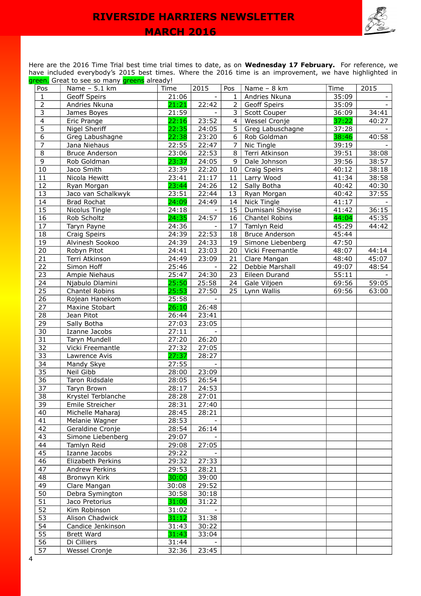

Here are the 2016 Time Trial best time trial times to date, as on **Wednesday 17 February.** For reference, we have included everybody's 2015 best times. Where the 2016 time is an improvement, we have highlighted in green. Great to see so many greens already!

| Pos             | Name - 5.1 km         | Time  | 2015   | Pos            | Name - 8 km           | Time  | 2015  |
|-----------------|-----------------------|-------|--------|----------------|-----------------------|-------|-------|
| $\mathbf{1}$    | Geoff Speirs          | 21:06 |        | $\mathbf{1}$   | Andries Nkuna         | 35:09 |       |
| $\overline{2}$  | Andries Nkuna         | 21:21 | 22:42  | $2^{\circ}$    | <b>Geoff Speirs</b>   | 35:09 |       |
| $\overline{3}$  | James Boyes           | 21:59 |        | 3              | Scott Couper          | 36:09 | 34:41 |
| $\overline{4}$  | Eric Prange           | 22:16 | 23:52  | $\overline{4}$ | Wessel Cronje         | 37:22 | 40:27 |
| $\overline{5}$  | Nigel Sheriff         | 22:35 | 24:05  | 5              | Greg Labuschagne      | 37:28 |       |
| $\overline{6}$  | Greg Labushagne       | 22:38 | 23:20  | 6              | Rob Goldman           | 38:46 | 40:58 |
| $\overline{7}$  | Jana Niehaus          | 22:55 | 22:47  | $\overline{7}$ | Nic Tingle            | 39:19 |       |
| $\overline{8}$  | Bruce Anderson        | 23:06 | 22:53  | 8              | Terri Atkinson        | 39:51 | 38:08 |
| $\overline{9}$  | Rob Goldman           | 23:37 | 24:05  | 9              | Dale Johnson          | 39:56 | 38:57 |
| 10              | Jaco Smith            | 23:39 | 22:20  | 10             | Craig Speirs          | 40:12 | 38:18 |
| 11              | Nicola Hewitt         | 23:41 | 21:17  | 11             | Larry Wood            | 41:34 | 38:58 |
| 12              | Ryan Morgan           | 23:44 | 24:26  | 12             | Sally Botha           | 40:42 | 40:30 |
| 13              | Jaco van Schalkwyk    | 23:51 | 22:44  | 13             | Ryan Morgan           | 40:42 | 37:55 |
| 14              | <b>Brad Rochat</b>    | 24:09 | 24:49  | 14             | Nick Tingle           | 41:17 |       |
| 15              | Nicolus Tingle        | 24:18 |        | 15             | Dumisani Shoyise      | 41:42 | 36:15 |
| 16              | Rob Scholtz           | 24:35 | 24:57  | 16             | Chantel Robins        | 44:04 | 45:35 |
| 17              |                       |       |        | 17             | Tamlyn Reid           |       | 44:42 |
| 18              | Taryn Payne           | 24:36 | 22:53  |                |                       | 45:29 |       |
|                 | Craig Speirs          | 24:39 |        | 18             | <b>Bruce Anderson</b> | 45:44 |       |
| 19              | Alvinesh Sookoo       | 24:39 | 24:33  | 19             | Simone Liebenberg     | 47:50 |       |
| 20              | Robyn Pitot           | 24:41 | 23:03  | 20             | Vicki Freemantle      | 48:07 | 44:14 |
| 21              | Terri Atkinson        | 24:49 | 23:09  | 21             | Clare Mangan          | 48:40 | 45:07 |
| $\overline{22}$ | Simon Hoff            | 25:46 |        | 22             | Debbie Marshall       | 49:07 | 48:54 |
| 23              | Ampie Niehaus         | 25:47 | 24:30  | 23             | Eileen Durand         | 55:11 |       |
| 24              | Njabulo Dlamini       | 25:50 | 25:58  | 24             | Gale Viljoen          | 69:56 | 59:05 |
| $\overline{25}$ | <b>Chantel Robins</b> | 25:53 | 27:50  | 25             | Lynn Wallis           | 69:56 | 63:00 |
| $\overline{26}$ | Rojean Hanekom        | 25:58 | $\sim$ |                |                       |       |       |
| 27              | Maxine Stobart        | 26:10 | 26:48  |                |                       |       |       |
| $\overline{28}$ | Jean Pitot            | 26:44 | 23:41  |                |                       |       |       |
| 29              | Sally Botha           | 27:03 | 23:05  |                |                       |       |       |
| 30              | Izanne Jacobs         | 27:11 |        |                |                       |       |       |
| 31              | Taryn Mundell         | 27:20 | 26:20  |                |                       |       |       |
| 32              | Vicki Freemantle      | 27:32 | 27:05  |                |                       |       |       |
| 33              | Lawrence Avis         | 27:37 | 28:27  |                |                       |       |       |
| 34              | Mandy Skye            | 27:55 |        |                |                       |       |       |
| 35              | Neil Gibb             | 28:00 | 23:09  |                |                       |       |       |
| 36              | Taron Ridsdale        | 28:05 | 26:54  |                |                       |       |       |
| $\overline{37}$ | Taryn Brown           | 28:17 | 24:53  |                |                       |       |       |
| 38              | Krystel Terblanche    | 28:28 | 27:01  |                |                       |       |       |
| 39              | Emile Streicher       | 28:31 | 27:40  |                |                       |       |       |
| 40              | Michelle Maharaj      | 28:45 | 28:21  |                |                       |       |       |
| 41              | Melanie Wagner        | 28:53 |        |                |                       |       |       |
| 42              | Geraldine Cronje      | 28:54 | 26:14  |                |                       |       |       |
| 43              | Simone Liebenberg     | 29:07 |        |                |                       |       |       |
| 44              | Tamlyn Reid           | 29:08 | 27:05  |                |                       |       |       |
| $\overline{45}$ | Izanne Jacobs         | 29:22 |        |                |                       |       |       |
| 46              | Elizabeth Perkins     | 29:32 | 27:33  |                |                       |       |       |
| 47              | Andrew Perkins        | 29:53 | 28:21  |                |                       |       |       |
| $\overline{48}$ | Bronwyn Kirk          | 30:00 | 39:00  |                |                       |       |       |
| 49              |                       |       |        |                |                       |       |       |
|                 | Clare Mangan          | 30:08 | 29:52  |                |                       |       |       |
| 50              | Debra Symington       | 30:58 | 30:18  |                |                       |       |       |
| 51              | Jaco Pretorius        | 31:00 | 31:22  |                |                       |       |       |
| 52              | Kim Robinson          | 31:02 |        |                |                       |       |       |
| 53              | Alison Chadwick       | 31:12 | 31:38  |                |                       |       |       |
| 54              | Candice Jenkinson     | 31:43 | 30:22  |                |                       |       |       |
| 55              | <b>Brett Ward</b>     | 31:43 | 33:04  |                |                       |       |       |
| $\overline{56}$ | Di Cilliers           | 31:44 |        |                |                       |       |       |
| $\overline{57}$ | Wessel Cronje         | 32:36 | 23:45  |                |                       |       |       |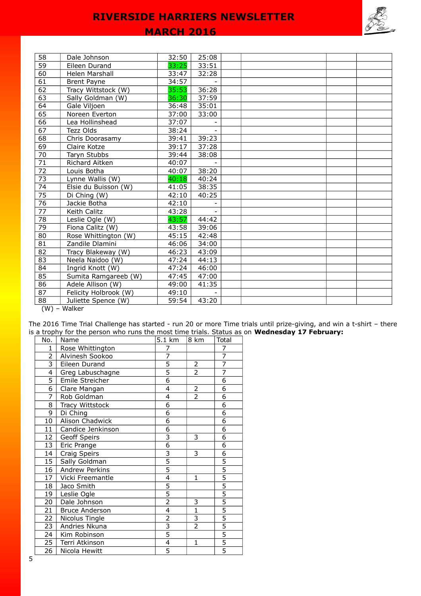|                 |                       | <b>MARCH 2016</b> |       |  | $\mathscr{S}$ $\mathscr{L}$ |  |
|-----------------|-----------------------|-------------------|-------|--|-----------------------------|--|
|                 |                       |                   |       |  |                             |  |
| 58              | Dale Johnson          | 32:50             | 25:08 |  |                             |  |
| 59              | Eileen Durand         | 33:25             | 33:51 |  |                             |  |
| $\overline{60}$ | Helen Marshall        | 33:47             | 32:28 |  |                             |  |
| 61              | <b>Brent Payne</b>    | 34:57             |       |  |                             |  |
| 62              | Tracy Wittstock (W)   | 35:53             | 36:28 |  |                             |  |
| 63              | Sally Goldman (W)     | 36:30             | 37:59 |  |                             |  |
| 64              | Gale Viljoen          | 36:48             | 35:01 |  |                             |  |
| 65              | Noreen Everton        | 37:00             | 33:00 |  |                             |  |
| 66              | Lea Hollinshead       | 37:07             |       |  |                             |  |
| $\overline{67}$ | Tezz Olds             | 38:24             |       |  |                             |  |
| 68              | Chris Doorasamy       | 39:41             | 39:23 |  |                             |  |
| 69              | Claire Kotze          | 39:17             | 37:28 |  |                             |  |
| 70              | Taryn Stubbs          | 39:44             | 38:08 |  |                             |  |
| $\overline{71}$ | Richard Aitken        | 40:07             |       |  |                             |  |
| $\overline{72}$ | Louis Botha           | 40:07             | 38:20 |  |                             |  |
| $\overline{73}$ | Lynne Wallis (W)      | 40:18             | 40:24 |  |                             |  |
| 74              | Elsie du Buisson (W)  | 41:05             | 38:35 |  |                             |  |
| $\overline{75}$ | Di Ching (W)          | 42:10             | 40:25 |  |                             |  |
| $\overline{76}$ | Jackie Botha          | 42:10             |       |  |                             |  |
| 77              | Keith Calitz          | 43:28             |       |  |                             |  |
| $\overline{78}$ | Leslie Ogle (W)       | 43:57             | 44:42 |  |                             |  |
| $\overline{79}$ | Fiona Calitz (W)      | 43:58             | 39:06 |  |                             |  |
| 80              | Rose Whittington (W)  | 45:15             | 42:48 |  |                             |  |
| 81              | Zandile Dlamini       | 46:06             | 34:00 |  |                             |  |
| $\overline{82}$ | Tracy Blakeway (W)    | 46:23             | 43:09 |  |                             |  |
| 83              | Neela Naidoo (W)      | 47:24             | 44:13 |  |                             |  |
| 84              | Ingrid Knott (W)      | 47:24             | 46:00 |  |                             |  |
| 85              | Sumita Ramgareeb (W)  | 47:45             | 47:00 |  |                             |  |
| 86              | Adele Allison (W)     | 49:00             | 41:35 |  |                             |  |
| 87              | Felicity Holbrook (W) | 49:10             |       |  |                             |  |
| 88              | Juliette Spence (W)   | 59:54             | 43:20 |  |                             |  |

(W) – Walker

The 2016 Time Trial Challenge has started - run 20 or more Time trials until prize-giving, and win a t-shirt – there is a trophy for the person who runs the most time trials. Status as on **Wednesday 17 February:**

| No.            | Name                  | 5.1 km                    | 8 km                      | Total          |
|----------------|-----------------------|---------------------------|---------------------------|----------------|
| 1              | Rose Whittington      | $\overline{7}$            |                           | $\overline{7}$ |
| $\overline{2}$ | Alvinesh Sookoo       | 7                         |                           | $\overline{7}$ |
| $\overline{3}$ | Eileen Durand         | 5                         | 2                         | $\overline{7}$ |
| 4              | Greg Labuschagne      | $\overline{5}$            | $\overline{2}$            | 7              |
| $\overline{5}$ | Emile Streicher       | $\overline{6}$            |                           | 6              |
| 6              | Clare Mangan          | 4                         | $\mathbf 2$               | 6              |
| 7              | Rob Goldman           | 4                         | $\overline{2}$            | $\overline{6}$ |
| 8              | Tracy Wittstock       | $\overline{6}$            |                           | $\overline{6}$ |
| $\overline{9}$ | Di Ching              | $\overline{6}$            |                           | $\overline{6}$ |
| 10             | Alison Chadwick       | 6                         |                           | 6              |
| 11             | Candice Jenkinson     | $\overline{6}$            |                           | $\overline{6}$ |
| 12             | Geoff Speirs          | $\overline{\overline{3}}$ | 3                         | 6              |
| 13             | Eric Prange           | $\overline{6}$            |                           | $\overline{6}$ |
| 14             | Craig Speirs          |                           | 3                         | 6              |
| 15             | Sally Goldman         | $\frac{3}{5}$             |                           | $\frac{5}{5}$  |
| 16             | Andrew Perkins        |                           |                           |                |
| 17             | Vicki Freemantle      | $\overline{4}$            | $\mathbf{1}$              | $\overline{5}$ |
| 18             | Jaco Smith            | $\overline{5}$            |                           | $\frac{5}{5}$  |
| 19             | Leslie Ogle           | $\overline{5}$            |                           |                |
| 20             | Dale Johnson          | $\overline{2}$            | 3                         | $\frac{5}{5}$  |
| 21             | <b>Bruce Anderson</b> | $\overline{4}$            | $\overline{1}$            |                |
| 22             | Nicolus Tingle        | $\overline{2}$            | $\overline{\overline{3}}$ |                |
| 23             | Andries Nkuna         | $\overline{\overline{3}}$ | $\overline{2}$            | $\overline{5}$ |
| 24             | Kim Robinson          | $\overline{5}$            |                           | $\overline{5}$ |
| 25             | Terri Atkinson        | 4                         | $\mathbf{1}$              | $\frac{5}{5}$  |
| 26             | Nicola Hewitt         | $\overline{5}$            |                           |                |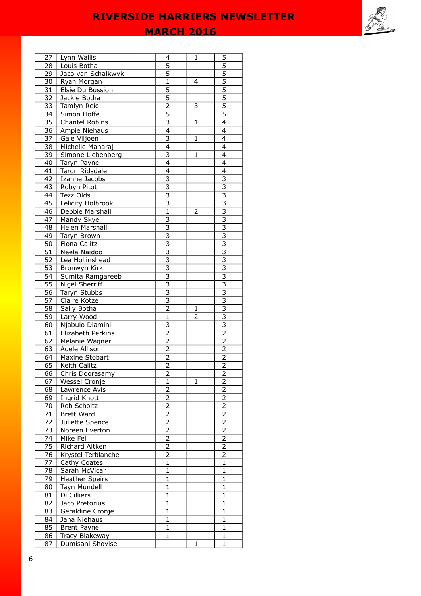**MARCH 2016** 

| 27              | Lynn Wallis                        | 4                         | 1 | $\overline{5}$                            |
|-----------------|------------------------------------|---------------------------|---|-------------------------------------------|
| 28              | Louis Botha                        | 5                         |   | 5                                         |
| 29              | Jaco van Schalkwyk                 | 5                         |   | 5                                         |
| 30              | Ryan Morgan                        | $\mathbf{1}$              | 4 | $\overline{5}$                            |
| 31              | Elsie Du Bussion                   | $\overline{5}$            |   | $\overline{5}$                            |
| 32              | Jackie Botha                       | $\overline{5}$            |   | $\overline{5}$                            |
| 33              | Tamlyn Reid                        | $\overline{c}$            | 3 | 5                                         |
| 34              | Simon Hoffe                        | $\overline{5}$            |   | 5                                         |
| 35              | Chantel Robins                     | $\overline{\overline{3}}$ | 1 | $\overline{4}$                            |
| 36              | Ampie Niehaus                      | $\overline{4}$            |   | 4                                         |
| 37              | Gale Viljoen                       | 3                         | 1 | 4                                         |
| 38              | Michelle Maharaj                   | 4                         |   | 4                                         |
| 39              | Simone Liebenberg                  | 3                         | 1 | 4                                         |
|                 |                                    | 4                         |   | 4                                         |
| 40              | Taryn Payne                        |                           |   |                                           |
| 41              | Taron Ridsdale                     | 4                         |   | 4                                         |
| 42              | Izanne Jacobs                      | $\overline{\overline{3}}$ |   | 3                                         |
| 43              | Robyn Pitot                        | $\overline{\mathbf{3}}$   |   | $\overline{\mathbf{3}}$                   |
| 44              | Tezz Olds                          | $\overline{3}$            |   | $\overline{3}$                            |
| 45              | Felicity Holbrook                  | $\overline{\overline{3}}$ |   | $\overline{\mathbf{3}}$                   |
| 46              | Debbie Marshall                    | $\overline{1}$            | 2 | $\overline{\overline{3}}$                 |
| 47              | Mandy Skye                         | $\overline{\mathbf{3}}$   |   | $\overline{\mathbf{3}}$                   |
| 48              | Helen Marshall                     | 3                         |   | 3                                         |
| 49              | Taryn Brown                        | $\overline{\overline{3}}$ |   | $\overline{\overline{3}}$                 |
| 50              | Fiona Calitz                       | $\overline{3}$            |   | $\overline{3}$                            |
| 51              | Neela Naidoo                       | 3                         |   | 3                                         |
| 52              | Lea Hollinshead                    | 3                         |   | 3                                         |
| 53              | Bronwyn Kirk                       | $\overline{3}$            |   | $\overline{\overline{3}}$                 |
| 54              | Sumita Ramgareeb                   | $\overline{\overline{3}}$ |   | $\overline{\overline{3}}$                 |
| 55              | Nigel Sherriff                     | $\overline{3}$            |   | $\overline{3}$                            |
| 56              | Taryn Stubbs                       | $\overline{\overline{3}}$ |   | $\overline{3}$                            |
| 57              | Claire Kotze                       | $\overline{\overline{3}}$ |   | $\overline{\overline{3}}$                 |
|                 |                                    |                           |   |                                           |
|                 |                                    |                           |   |                                           |
| 58              | Sally Botha                        | $\overline{2}$            | 1 | $\overline{\mathbf{3}}$                   |
| 59              | Larry Wood                         | $\mathbf{1}$              | 2 | 3                                         |
| 60              | Njabulo Dlamini                    | 3                         |   | $\overline{3}$                            |
| 61              | Elizabeth Perkins                  | $\overline{2}$            |   | $\overline{2}$                            |
| 62              | Melanie Wagner                     | 2                         |   | $\overline{2}$                            |
| 63              | Adele Allison                      | 2                         |   | $\overline{2}$                            |
| 64              | Maxine Stobart                     | $\overline{\mathbf{c}}$   |   | $\overline{c}$                            |
| 65              | Keith Calitz                       | $\overline{2}$            |   | $\overline{2}$                            |
| 66              | Chris Doorasamy                    | 2                         |   | $\overline{2}$                            |
| 67              | Wessel Cronje                      | $\overline{1}$            | 1 | 2                                         |
| 68              | Lawrence Avis                      | $\overline{2}$            |   | $\overline{2}$                            |
| 69              | Ingrid Knott                       | $\overline{2}$            |   | $\overline{2}$                            |
| 70              | Rob Scholtz                        | $\overline{2}$            |   | $\overline{2}$                            |
| $\overline{71}$ | <b>Brett Ward</b>                  | $\overline{2}$            |   | $\overline{2}$                            |
| 72              | Juliette Spence                    | $\overline{c}$            |   | $\overline{2}$                            |
| 73              | Noreen Everton                     | 2                         |   | 2                                         |
| 74              | Mike Fell                          |                           |   |                                           |
| 75              | Richard Aitken                     | 2<br>$\overline{c}$       |   | $\overline{\mathbf{c}}$<br>$\overline{2}$ |
|                 |                                    |                           |   |                                           |
| 76              | Krystel Terblanche                 | $\overline{c}$            |   | 2                                         |
| 77              | Cathy Coates                       | $\mathbf{1}$              |   | $\mathbf{1}$                              |
| 78              | Sarah McVicar                      | $\overline{1}$            |   | $\mathbf{1}$                              |
| 79              | <b>Heather Speirs</b>              | $\mathbf{1}$              |   | $\mathbf{1}$                              |
| 80              | Tayn Mundell                       | $\mathbf{1}$              |   | $\mathbf{1}$                              |
| 81              | Di Cilliers                        | $\mathbf{1}$              |   | $\mathbf{1}$                              |
| 82              | Jaco Pretorius                     | $\mathbf{1}$              |   | $\mathbf{1}$                              |
| 83              | Geraldine Cronje                   | $\mathbf{1}$              |   | $\mathbf{1}$                              |
| 84              | Jana Niehaus                       | 1                         |   | 1                                         |
| 85              | <b>Brent Payne</b>                 | 1                         |   | 1                                         |
| 86<br>87        | Tracy Blakeway<br>Dumisani Shoyise | 1                         | 1 | 1<br>$\mathbf{1}$                         |

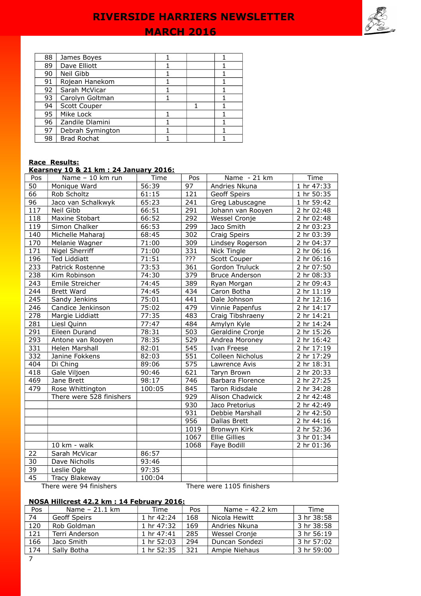## **MARCH 2016**

| 88 | James Boyes        |  |  |
|----|--------------------|--|--|
| 89 | Dave Elliott       |  |  |
| 90 | Neil Gibb          |  |  |
| 91 | Rojean Hanekom     |  |  |
| 92 | Sarah McVicar      |  |  |
| 93 | Carolyn Goltman    |  |  |
| 94 | Scott Couper       |  |  |
| 95 | Mike Lock          |  |  |
| 96 | Zandile Dlamini    |  |  |
| 97 | Debrah Symington   |  |  |
| 98 | <b>Brad Rochat</b> |  |  |

## **Race Results:**

#### **Kearsney 10 & 21 km : 24 January 2016:**

| Pos | Name - 10 km run         | Time   | Pos  | Name - 21 km              | Time       |
|-----|--------------------------|--------|------|---------------------------|------------|
| 50  | Monique Ward             | 56:39  | 97   | Andries Nkuna             | 1 hr 47:33 |
| 66  | Rob Scholtz              | 61:15  | 121  | Geoff Speirs              | 1 hr 50:35 |
| 96  | Jaco van Schalkwyk       | 65:23  | 241  | Greg Labuscagne           | 1 hr 59:42 |
| 117 | Neil Gibb                | 66:51  | 291  | Johann van Rooyen         | 2 hr 02:48 |
| 118 | Maxine Stobart           | 66:52  | 292  | Wessel Cronje             | 2 hr 02:48 |
| 119 | Simon Chalker            | 66:53  | 299  | Jaco Smith                | 2 hr 03:23 |
| 140 | Michelle Maharaj         | 68:45  | 302  | Craig Speirs              | 2 hr 03:39 |
| 170 | Melanie Wagner           | 71:00  | 309  | Lindsey Rogerson          | 2 hr 04:37 |
| 171 | Nigel Sherriff           | 71:00  | 331  | Nick Tingle               | 2 hr 06:16 |
| 196 | Ted Liddiatt             | 71:51  | ???  | Scott Couper              | 2 hr 06:16 |
| 233 | Patrick Rostenne         | 73:53  | 361  | Gordon Truluck            | 2 hr 07:50 |
| 238 | Kim Robinson             | 74:30  | 379  | <b>Bruce Anderson</b>     | 2 hr 08:33 |
| 243 | Emile Streicher          | 74:45  | 389  | Ryan Morgan               | 2 hr 09:43 |
| 244 | Brett Ward               | 74:45  | 434  | Caron Botha               | 2 hr 11:19 |
| 245 | Sandy Jenkins            | 75:01  | 441  | Dale Johnson              | 2 hr 12:16 |
| 246 | Candice Jenkinson        | 75:02  | 479  | Vinnie Papenfus           | 2 hr 14:17 |
| 278 | Margie Liddiatt          | 77:35  | 483  | Craig Tibshraeny          | 2 hr 14:21 |
| 281 | Liesl Quinn              | 77:47  | 484  | Amylyn Kyle               | 2 hr 14:24 |
| 291 | Eileen Durand            | 78:31  | 503  | Geraldine Cronje          | 2 hr 15:26 |
| 293 | Antone van Rooyen        | 78:35  | 529  | Andrea Moroney            | 2 hr 16:42 |
| 331 | Helen Marshall           | 82:01  | 545  | Ivan Freese               | 2 hr 17:19 |
| 332 | Janine Fokkens           | 82:03  | 551  | Colleen Nicholus          | 2 hr 17:29 |
| 404 | Di Ching                 | 89:06  | 575  | Lawrence Avis             | 2 hr 18:31 |
| 418 | Gale Viljoen             | 90:46  | 621  | Taryn Brown               | 2 hr 20:33 |
| 469 | Jane Brett               | 98:17  | 746  | Barbara Florence          | 2 hr 27:25 |
| 479 | Rose Whittington         | 100:05 | 845  | Taron Ridsdale            | 2 hr 34:28 |
|     | There were 528 finishers |        | 929  | Alison Chadwick           | 2 hr 42:48 |
|     |                          |        | 930  | Jaco Pretorius            | 2 hr 42:49 |
|     |                          |        | 931  | Debbie Marshall           | 2 hr 42:50 |
|     |                          |        | 956  | <b>Dallas Brett</b>       | 2 hr 44:16 |
|     |                          |        | 1019 | Bronwyn Kirk              | 2 hr 52:36 |
|     |                          |        | 1067 | Ellie Gillies             | 3 hr 01:34 |
|     | $10 \text{ km}$ - walk   |        | 1068 | Faye Bodill               | 2 hr 01:36 |
| 22  | Sarah McVicar            | 86:57  |      |                           |            |
| 30  | Dave Nicholls            | 93:46  |      |                           |            |
| 39  | Leslie Ogle              | 97:35  |      |                           |            |
| 45  | Tracy Blakeway           | 100:04 |      |                           |            |
|     | There were 94 finishers  |        |      | There were 1105 finishers |            |

## **NOSA Hillcrest 42.2 km : 14 February 2016:**

| Pos | Name - 21.1 km      | Time       | Pos | Name - 42.2 km | Time       |
|-----|---------------------|------------|-----|----------------|------------|
| 74  | <b>Geoff Speirs</b> | 1 hr 42:24 | 168 | Nicola Hewitt  | 3 hr 38:58 |
| 120 | Rob Goldman         | 1 hr 47:32 | 169 | Andries Nkuna  | 3 hr 38:58 |
| 121 | Terri Anderson      | 1 hr 47:41 | 285 | Wessel Cronie  | 3 hr 56:19 |
| 166 | Jaco Smith          | 1 hr 52:03 | 294 | Duncan Sondezi | 3 hr 57:02 |
| 174 | Sally Botha         | 1 hr 52:35 | 321 | Ampie Niehaus  | 3 hr 59:00 |

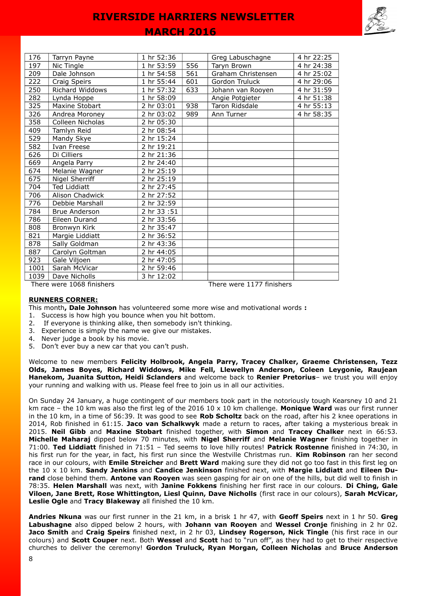## **MARCH 2016**

| 176  | Tarryn Payne                                           | 1 hr 52:36 |     | Greg Labuschagne   | 4 hr 22:25 |  |  |
|------|--------------------------------------------------------|------------|-----|--------------------|------------|--|--|
| 197  | Nic Tingle                                             | 1 hr 53:59 | 556 | Taryn Brown        | 4 hr 24:38 |  |  |
| 209  | Dale Johnson                                           | 1 hr 54:58 | 561 | Graham Christensen | 4 hr 25:02 |  |  |
| 222  | Craig Speirs                                           | 1 hr 55:44 | 601 | Gordon Truluck     | 4 hr 29:06 |  |  |
| 250  | Richard Widdows                                        | 1 hr 57:32 | 633 | Johann van Rooyen  | 4 hr 31:59 |  |  |
| 282  | Lynda Hoppe                                            | 1 hr 58:09 |     | Angie Potgieter    | 4 hr 51:38 |  |  |
| 325  | Maxine Stobart                                         | 2 hr 03:01 | 938 | Taron Ridsdale     | 4 hr 55:13 |  |  |
| 326  | Andrea Moroney                                         | 2 hr 03:02 | 989 | Ann Turner         | 4 hr 58:35 |  |  |
| 358  | Colleen Nicholas                                       | 2 hr 05:30 |     |                    |            |  |  |
| 409  | Tamlyn Reid                                            | 2 hr 08:54 |     |                    |            |  |  |
| 529  | Mandy Skye                                             | 2 hr 15:24 |     |                    |            |  |  |
| 582  | Ivan Freese                                            | 2 hr 19:21 |     |                    |            |  |  |
| 626  | Di Cilliers                                            | 2 hr 21:36 |     |                    |            |  |  |
| 669  | Angela Parry                                           | 2 hr 24:40 |     |                    |            |  |  |
| 674  | Melanie Wagner                                         | 2 hr 25:19 |     |                    |            |  |  |
| 675  | Nigel Sherriff                                         | 2 hr 25:19 |     |                    |            |  |  |
| 704  | <b>Ted Liddiatt</b>                                    | 2 hr 27:45 |     |                    |            |  |  |
| 706  | <b>Alison Chadwick</b>                                 | 2 hr 27:52 |     |                    |            |  |  |
| 776  | Debbie Marshall                                        | 2 hr 32:59 |     |                    |            |  |  |
| 784  | <b>Brue Anderson</b>                                   | 2 hr 33:51 |     |                    |            |  |  |
| 786  | Eileen Durand                                          | 2 hr 33:56 |     |                    |            |  |  |
| 808  | Bronwyn Kirk                                           | 2 hr 35:47 |     |                    |            |  |  |
| 821  | Margie Liddiatt                                        | 2 hr 36:52 |     |                    |            |  |  |
| 878  | Sally Goldman                                          | 2 hr 43:36 |     |                    |            |  |  |
| 887  | Carolyn Goltman                                        | 2 hr 44:05 |     |                    |            |  |  |
| 923  | Gale Viljoen                                           | 2 hr 47:05 |     |                    |            |  |  |
| 1001 | Sarah McVicar                                          | 2 hr 59:46 |     |                    |            |  |  |
| 1039 | Dave Nicholls                                          | 3 hr 12:02 |     |                    |            |  |  |
|      | There were 1068 finishers<br>There were 1177 finishers |            |     |                    |            |  |  |

## **RUNNERS CORNER:**

This month**, Dale Johnson** has volunteered some more wise and motivational words **:** 

- 1. Success is how high you bounce when you hit bottom.
- 2. If everyone is thinking alike, then somebody isn't thinking.
- 3. Experience is simply the name we give our mistakes.
- 4. Never judge a book by his movie.
- 5. Don't ever buy a new car that you can't push.

Welcome to new members **Felicity Holbrook, Angela Parry, Tracey Chalker, Graeme Christensen, Tezz Olds, James Boyes, Richard Widdows, Mike Fell, Llewellyn Anderson, Coleen Leygonie, Raujean Hanekom, Juanita Sutton, Heidi Sclanders** and welcome back to **Renier Pretorius**– we trust you will enjoy your running and walking with us. Please feel free to join us in all our activities.

On Sunday 24 January, a huge contingent of our members took part in the notoriously tough Kearsney 10 and 21 km race – the 10 km was also the first leg of the 2016 10 x 10 km challenge. **Monique Ward** was our first runner in the 10 km, in a time of 56:39. It was good to see **Rob Scholtz** back on the road, after his 2 knee operations in 2014, Rob finished in 61:15. **Jaco van Schalkwyk** made a return to races, after taking a mysterious break in 2015. **Neil Gibb** and **Maxine Stobart** finished together, with **Simon** and **Tracey Chalker** next in 66:53. **Michelle Maharaj** dipped below 70 minutes, with **Nigel Sherriff** and **Melanie Wagner** finishing together in 71:00. **Ted Liddiatt** finished in 71:51 – Ted seems to love hilly routes! **Patrick Rostenne** finished in 74:30, in his first run for the year, in fact, his first run since the Westville Christmas run. **Kim Robinson** ran her second race in our colours, with **Emile Streicher** and **Brett Ward** making sure they did not go too fast in this first leg on the 10 x 10 km. **Sandy Jenkins** and **Candice Jenkinson** finished next, with **Margie Liddiatt** and **Eileen Durand** close behind them. **Antone van Rooyen** was seen gasping for air on one of the hills, but did well to finish in 78:35. **Helen Marshall** was next, with **Janine Fokkens** finishing her first race in our colours. **Di Ching, Gale Viloen, Jane Brett, Rose Whittington, Liesl Quinn, Dave Nicholls** (first race in our colours), **Sarah McVicar, Leslie Ogle** and **Tracy Blakeway** all finished the 10 km.

**Andries Nkuna** was our first runner in the 21 km, in a brisk 1 hr 47, with **Geoff Speirs** next in 1 hr 50. **Greg Labushagne** also dipped below 2 hours, with **Johann van Rooyen** and **Wessel Cronje** finishing in 2 hr 02. **Jaco Smith** and **Craig Speirs** finished next, in 2 hr 03, **Lindsey Rogerson, Nick Tingle** (his first race in our colours) and **Scott Couper** next. Both **Wessel** and **Scott** had to "run off", as they had to get to their respective churches to deliver the ceremony! **Gordon Truluck, Ryan Morgan, Colleen Nicholas** and **Bruce Anderson**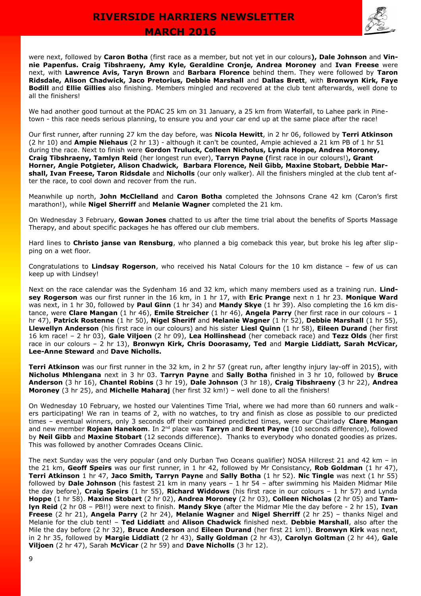

were next, followed by **Caron Botha** (first race as a member, but not yet in our colours**), Dale Johnson** and **Vinnie Papenfus. Craig Tibshraeny, Amy Kyle, Geraldine Cronje, Andrea Moroney** and **Ivan Freese** were next, with **Lawrence Avis, Taryn Brown** and **Barbara Florence** behind them. They were followed by **Taron Ridsdale, Alison Chadwick, Jaco Pretorius, Debbie Marshall** and **Dallas Brett**, with **Bronwyn Kirk, Faye Bodill** and **Ellie Gillies** also finishing. Members mingled and recovered at the club tent afterwards, well done to all the finishers!

We had another good turnout at the PDAC 25 km on 31 January, a 25 km from Waterfall, to Lahee park in Pinetown - this race needs serious planning, to ensure you and your car end up at the same place after the race!

Our first runner, after running 27 km the day before, was **Nicola Hewitt**, in 2 hr 06, followed by **Terri Atkinson** (2 hr 10) and **Ampie Niehaus** (2 hr 13) - although it can't be counted, Ampie achieved a 21 km PB of 1 hr 51 during the race. Next to finish were **Gordon Truluck, Colleen Nicholus, Lynda Hoppe, Andrea Moroney, Craig Tibshraeny, Tamlyn Reid** (her longest run ever), **Tarryn Payne (**first race in our colours!)**, Grant Horner, Angie Potgieter, Alison Chadwick, Barbara Florence, Neil Gibb, Maxine Stobart, Debbie Marshall, Ivan Freese, Taron Ridsdale** and **Nicholls** (our only walker). All the finishers mingled at the club tent after the race, to cool down and recover from the run.

Meanwhile up north, **John McClelland** and **Caron Botha** completed the Johnsons Crane 42 km (Caron's first marathon!), while **Nigel Sherriff** and **Melanie Wagner** completed the 21 km.

On Wednesday 3 February, **Gowan Jones** chatted to us after the time trial about the benefits of Sports Massage Therapy, and about specific packages he has offered our club members.

Hard lines to **Christo janse van Rensburg**, who planned a big comeback this year, but broke his leg after slipping on a wet floor.

Congratulations to **Lindsay Rogerson**, who received his Natal Colours for the 10 km distance – few of us can keep up with Lindsey!

Next on the race calendar was the Sydenham 16 and 32 km, which many members used as a training run. **Lindsey Rogerson** was our first runner in the 16 km, in 1 hr 17, with **Eric Prange** next n 1 hr 23. **Monique Ward** was next, in 1 hr 30, followed by **Paul Ginn** (1 hr 34) and **Mandy Skye** (1 hr 39). Also completing the 16 km distance, were **Clare Mangan** (1 hr 46), **Emile Streicher** (1 hr 46), **Angela Parry** (her first race in our colours – 1 hr 47), **Patrick Rostenne** (1 hr 50), **Nigel Sheriff** and **Melanie Wagner** (1 hr 52), **Debbie Marshall** (1 hr 55), **Llewellyn Anderson** (his first race in our colours) and his sister **Liesl Quinn** (1 hr 58), **Eileen Durand** (her first 16 km race! – 2 hr 03), **Gale Viljoen** (2 hr 09), **Lea Hollinshead** (her comeback race) and **Tezz Olds** (her first race in our colours – 2 hr 13), **Bronwyn Kirk, Chris Doorasamy, Ted** and **Margie Liddiatt, Sarah McVicar, Lee-Anne Steward** and **Dave Nicholls.**

**Terri Atkinson** was our first runner in the 32 km, in 2 hr 57 (great run, after lengthy injury lay-off in 2015), with **Nicholus Mhlengana** next in 3 hr 03. **Tarryn Payne** and **Sally Botha** finished in 3 hr 10, followed by **Bruce Anderson** (3 hr 16), **Chantel Robins** (3 hr 19), **Dale Johnson** (3 hr 18), **Craig Tibshraeny** (3 hr 22), **Andrea Moroney** (3 hr 25), and **Michelle Maharaj** (her first 32 km!) – well done to all the finishers!

On Wednesday 10 February, we hosted our Valentines Time Trial, where we had more than 60 runners and walk ers participating! We ran in teams of 2, with no watches, to try and finish as close as possible to our predicted times – eventual winners, only 3 seconds off their combined predicted times, were our Chairlady **Clare Mangan** and new member **Rojean Hanekom**. In 2nd place was **Tarryn** and **Brent Payne** (10 seconds difference), followed by **Neil Gibb** and **Maxine Stobart** (12 seconds difference). Thanks to everybody who donated goodies as prizes. This was followed by another Comrades Oceans Clinic.

The next Sunday was the very popular (and only Durban Two Oceans qualifier) NOSA Hillcrest 21 and 42 km – in the 21 km, **Geoff Speirs** was our first runner, in 1 hr 42, followed by Mr Consistancy, **Rob Goldman** (1 hr 47), **Terri Atkinson** 1 hr 47, **Jaco Smith, Tarryn Payne** and **Sally Botha** (1 hr 52). **Nic Tingle** was next (1 hr 55) followed by **Dale Johnson** (his fastest 21 km in many years – 1 hr 54 – after swimming his Maiden Midmar Mile the day before), **Craig Speirs** (1 hr 55), **Richard Widdows** (his first race in our colours – 1 hr 57) and Lynda **Hoppe** (1 hr 58). **Maxine Stobart** (2 hr 02), **Andrea Moroney** (2 hr 03), **Colleen Nicholas** (2 hr 05) and **Tamlyn Reid** (2 hr 08 – PB!!) were next to finish. **Mandy Skye** (after the Midmar Mle the day before - 2 hr 15), **Ivan Freese** (2 hr 21), **Angela Parry** (2 hr 24), **Melanie Wagner** and **Nigel Sherriff** (2 hr 25) – thanks Nigel and Melanie for the club tent! – **Ted Liddiatt** and **Alison Chadwick** finished next. **Debbie Marshall**, also after the Mile the day before (2 hr 32), **Bruce Anderson** and **Eileen Durand** (her first 21 km!). **Bronwyn Kirk** was next, in 2 hr 35, followed by **Margie Liddiatt** (2 hr 43), **Sally Goldman** (2 hr 43), **Carolyn Goltman** (2 hr 44), **Gale Viljoen** (2 hr 47), Sarah **McVicar** (2 hr 59) and **Dave Nicholls** (3 hr 12).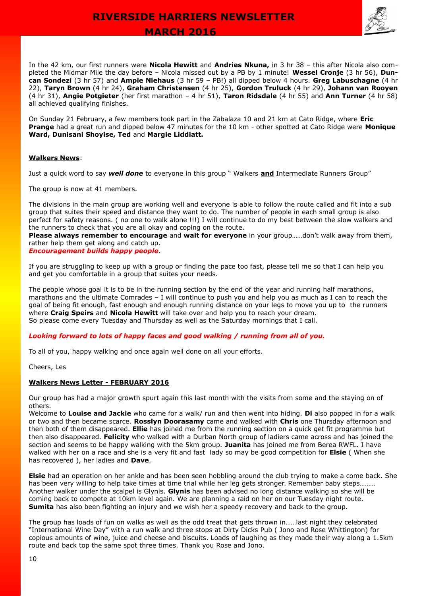## **MARCH 2016**



In the 42 km, our first runners were **Nicola Hewitt** and **Andries Nkuna,** in 3 hr 38 – this after Nicola also completed the Midmar Mile the day before – Nicola missed out by a PB by 1 minute! **Wessel Cronje** (3 hr 56), **Duncan Sondezi** (3 hr 57) and **Ampie Niehaus** (3 hr 59 – PB!) all dipped below 4 hours. **Greg Labuschagne** (4 hr 22), **Taryn Brown** (4 hr 24), **Graham Christensen** (4 hr 25), **Gordon Truluck** (4 hr 29), **Johann van Rooyen** (4 hr 31), **Angie Potgieter** (her first marathon – 4 hr 51), **Taron Ridsdale** (4 hr 55) and **Ann Turner** (4 hr 58) all achieved qualifying finishes.

On Sunday 21 February, a few members took part in the Zabalaza 10 and 21 km at Cato Ridge, where **Eric Prange** had a great run and dipped below 47 minutes for the 10 km - other spotted at Cato Ridge were **Monique Ward, Dunisani Shoyise, Ted** and **Margie Liddiatt.**

## **Walkers News**:

Just a quick word to say *well done* to everyone in this group " Walkers **and** Intermediate Runners Group"

The group is now at 41 members.

The divisions in the main group are working well and everyone is able to follow the route called and fit into a sub group that suites their speed and distance they want to do. The number of people in each small group is also perfect for safety reasons. ( no one to walk alone !!!) I will continue to do my best between the slow walkers and the runners to check that you are all okay and coping on the route.

**Please always remember to encourage** and **wait for everyone** in your group……don't walk away from them, rather help them get along and catch up.

*Encouragement builds happy people*.

If you are struggling to keep up with a group or finding the pace too fast, please tell me so that I can help you and get you comfortable in a group that suites your needs.

The people whose goal it is to be in the running section by the end of the year and running half marathons, marathons and the ultimate Comrades – I will continue to push you and help you as much as I can to reach the goal of being fit enough, fast enough and enough running distance on your legs to move you up to the runners where **Craig Speirs** and **Nicola Hewitt** will take over and help you to reach your dream. So please come every Tuesday and Thursday as well as the Saturday mornings that I call.

## *Looking forward to lots of happy faces and good walking / running from all of you.*

To all of you, happy walking and once again well done on all your efforts.

#### Cheers, Les

## **Walkers News Letter - FEBRUARY 2016**

Our group has had a major growth spurt again this last month with the visits from some and the staying on of others.

Welcome to **Louise and Jackie** who came for a walk/ run and then went into hiding. **Di** also popped in for a walk or two and then became scarce. **Rosslyn Doorasamy** came and walked with **Chris** one Thursday afternoon and then both of them disappeared. **Ellie** has joined me from the running section on a quick get fit programme but then also disappeared. **Felicity** who walked with a Durban North group of ladiers came across and has joined the section and seems to be happy walking with the 5km group. **Juanita** has joined me from Berea RWFL. I have walked with her on a race and she is a very fit and fast lady so may be good competition for **Elsie** ( When she has recovered ), her ladies and **Dave**.

**Elsie** had an operation on her ankle and has been seen hobbling around the club trying to make a come back. She has been very willing to help take times at time trial while her leg gets stronger. Remember baby steps……… Another walker under the scalpel is Glynis. **Glynis** has been advised no long distance walking so she will be coming back to compete at 10km level again. We are planning a raid on her on our Tuesday night route. **Sumita** has also been fighting an injury and we wish her a speedy recovery and back to the group.

The group has loads of fun on walks as well as the odd treat that gets thrown in……last night they celebrated "International Wine Day" with a run walk and three stops at Dirty Dicks Pub ( Jono and Rose Whittington) for copious amounts of wine, juice and cheese and biscuits. Loads of laughing as they made their way along a 1.5km route and back top the same spot three times. Thank you Rose and Jono.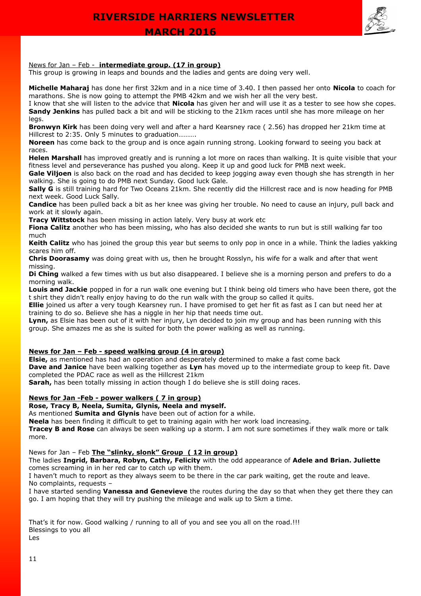## News for Jan – Feb - **intermediate group. (17 in group)**

This group is growing in leaps and bounds and the ladies and gents are doing very well.

**Michelle Maharaj** has done her first 32km and in a nice time of 3.40. I then passed her onto **Nicola** to coach for marathons. She is now going to attempt the PMB 42km and we wish her all the very best.

I know that she will listen to the advice that **Nicola** has given her and will use it as a tester to see how she copes. **Sandy Jenkins** has pulled back a bit and will be sticking to the 21km races until she has more mileage on her legs.

**Bronwyn Kirk** has been doing very well and after a hard Kearsney race ( 2.56) has dropped her 21km time at Hillcrest to 2:35. Only 5 minutes to graduation……….

**Noreen** has come back to the group and is once again running strong. Looking forward to seeing you back at races.

**Helen Marshall** has improved greatly and is running a lot more on races than walking. It is quite visible that your fitness level and perseverance has pushed you along. Keep it up and good luck for PMB next week.

Gale Viljoen is also back on the road and has decided to keep jogging away even though she has strength in her walking. She is going to do PMB next Sunday. Good luck Gale.

**Sally G** is still training hard for Two Oceans 21km. She recently did the Hillcrest race and is now heading for PMB next week. Good Luck Sally.

**Candice** has been pulled back a bit as her knee was giving her trouble. No need to cause an injury, pull back and work at it slowly again.

**Tracy Wittstock** has been missing in action lately. Very busy at work etc

**Fiona Calitz** another who has been missing, who has also decided she wants to run but is still walking far too much

**Keith Calitz** who has joined the group this year but seems to only pop in once in a while. Think the ladies yakking scares him off.

**Chris Doorasamy** was doing great with us, then he brought Rosslyn, his wife for a walk and after that went missing.

**Di Ching** walked a few times with us but also disappeared. I believe she is a morning person and prefers to do a morning walk.

**Louis and Jackie** popped in for a run walk one evening but I think being old timers who have been there, got the t shirt they didn't really enjoy having to do the run walk with the group so called it quits.

**Ellie** joined us after a very tough Kearsney run. I have promised to get her fit as fast as I can but need her at training to do so. Believe she has a niggle in her hip that needs time out.

**Lynn,** as Elsie has been out of it with her injury, Lyn decided to join my group and has been running with this group. She amazes me as she is suited for both the power walking as well as running.

## **News for Jan – Feb - speed walking group (4 in group)**

**Elsie,** as mentioned has had an operation and desperately determined to make a fast come back

**Dave and Janice** have been walking together as **Lyn** has moved up to the intermediate group to keep fit. Dave completed the PDAC race as well as the Hillcrest 21km

**Sarah,** has been totally missing in action though I do believe she is still doing races.

## **News for Jan -Feb - power walkers ( 7 in group)**

## **Rose, Tracy B, Neela, Sumita, Glynis, Neela and myself.**

As mentioned **Sumita and Glynis** have been out of action for a while.

**Neela** has been finding it difficult to get to training again with her work load increasing.

**Tracey B and Rose** can always be seen walking up a storm. I am not sure sometimes if they walk more or talk more.

## News for Jan – Feb **The "slinky, slonk" Group ( 12 in group)**

The ladies **Ingrid, Barbara, Robyn, Cathy, Felicity** with the odd appearance of **Adele and Brian. Juliette** comes screaming in in her red car to catch up with them.

I haven't much to report as they always seem to be there in the car park waiting, get the route and leave. No complaints, requests –

I have started sending **Vanessa and Genevieve** the routes during the day so that when they get there they can go. I am hoping that they will try pushing the mileage and walk up to 5km a time.

That's it for now. Good walking / running to all of you and see you all on the road.!!! Blessings to you all Les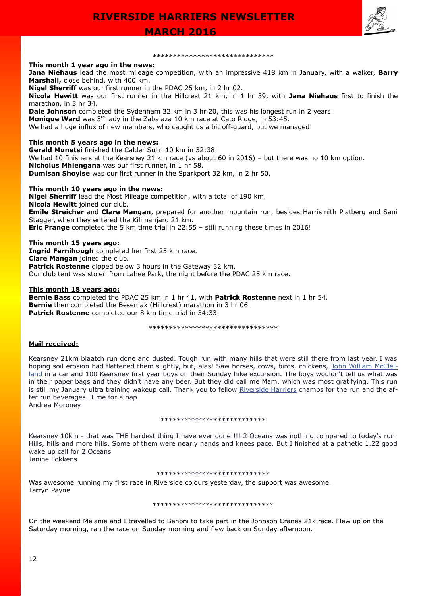



### **This month 1 year ago in the news:**

**Jana Niehaus** lead the most mileage competition, with an impressive 418 km in January, with a walker, **Barry Marshall,** close behind, with 400 km.

\*\*\*\*\*\*\*\*\*\*\*\*\*\*\*\*\*\*\*\*\*\*\*\*\*\*\*\*\*\*

**Nigel Sherriff** was our first runner in the PDAC 25 km, in 2 hr 02.

**Nicola Hewitt** was our first runner in the Hillcrest 21 km, in 1 hr 39, with **Jana Niehaus** first to finish the marathon, in 3 hr 34.

**Dale Johnson** completed the Sydenham 32 km in 3 hr 20, this was his longest run in 2 years!

**Monique Ward** was 3<sup>rd</sup> lady in the Zabalaza 10 km race at Cato Ridge, in 53:45.

We had a huge influx of new members, who caught us a bit off-guard, but we managed!

## **This month 5 years ago in the news:**

**Gerald Munetsi** finished the Calder Sulin 10 km in 32:38! We had 10 finishers at the Kearsney 21 km race (vs about 60 in 2016) – but there was no 10 km option. **Nicholus Mhlengana** was our first runner, in 1 hr 58. **Dumisan Shoyise** was our first runner in the Sparkport 32 km, in 2 hr 50.

## **This month 10 years ago in the news:**

**Nigel Sherriff** lead the Most Mileage competition, with a total of 190 km. **Nicola Hewitt** joined our club. **Emile Streicher** and **Clare Mangan**, prepared for another mountain run, besides Harrismith Platberg and Sani Stagger, when they entered the Kilimanjaro 21 km. **Eric Prange** completed the 5 km time trial in 22:55 – still running these times in 2016!

## **This month 15 years ago:**

**Ingrid Fernihough** completed her first 25 km race. **Clare Mangan** joined the club. **Patrick Rostenne** dipped below 3 hours in the Gateway 32 km. Our club tent was stolen from Lahee Park, the night before the PDAC 25 km race.

## **This month 18 years ago:**

**Bernie Bass** completed the PDAC 25 km in 1 hr 41, with **Patrick Rostenne** next in 1 hr 54. **Bernie** then completed the Besemax (Hillcrest) marathon in 3 hr 06. **Patrick Rostenne** completed our 8 km time trial in 34:33!

#### \*\*\*\*\*\*\*\*\*\*\*\*\*\*\*\*\*\*\*\*\*\*\*\*\*\*\*\*\*\*

## **Mail received:**

Kearsney 21km biaatch run done and dusted. Tough run with many hills that were still there from last year. I was hoping soil erosion had flattened them slightly, but, alas! Saw horses, cows, birds, chickens, [John William McClel](https://www.facebook.com/jwmcclelland)[land](https://www.facebook.com/jwmcclelland) in a car and 100 Kearsney first year boys on their Sunday hike excursion. The boys wouldn't tell us what was in their paper bags and they didn't have any beer. But they did call me Mam, which was most gratifying. This run is still my January ultra training wakeup call. Thank you to fellow [Riverside Harriers](https://www.facebook.com/riverside.harriers) champs for the run and the after run beverages. Time for a nap Andrea Moroney

#### \*\*\*\*\*\*\*\*\*\*\*\*\*\*\*\*\*\*\*\*\*\*\*\*\*\*

Kearsney 10km - that was THE hardest thing I have ever done!!!! 2 Oceans was nothing compared to today's run. Hills, hills and more hills. Some of them were nearly hands and knees pace. But I finished at a pathetic 1.22 good wake up call for 2 Oceans Janine Fokkens

#### \*\*\*\*\*\*\*\*\*\*\*\*\*\*\*\*\*\*\*\*\*\*\*\*\*\*\*\*

Was awesome running my first race in Riverside colours yesterday, the support was awesome. Tarryn Payne

\*\*\*\*\*\*\*\*\*\*\*\*\*\*\*\*\*\*\*\*\*\*\*\*\*\*\*\*\*\*

On the weekend Melanie and I travelled to Benoni to take part in the Johnson Cranes 21k race. Flew up on the Saturday morning, ran the race on Sunday morning and flew back on Sunday afternoon.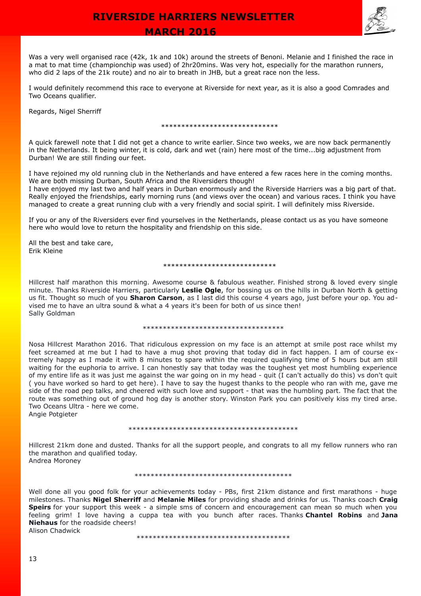

 **MARCH 2016** 

Was a very well organised race (42k, 1k and 10k) around the streets of Benoni. Melanie and I finished the race in a mat to mat time (championchip was used) of 2hr20mins. Was very hot, especially for the marathon runners, who did 2 laps of the 21k route) and no air to breath in JHB, but a great race non the less.

I would definitely recommend this race to everyone at Riverside for next year, as it is also a good Comrades and Two Oceans qualifier.

Regards, Nigel Sherriff

\*\*\*\*\*\*\*\*\*\*\*\*\*\*\*\*\*\*\*\*\*\*\*\*\*\*\*\*\*

A quick farewell note that I did not get a chance to write earlier. Since two weeks, we are now back permanently in the Netherlands. It being winter, it is cold, dark and wet (rain) here most of the time...big adjustment from Durban! We are still finding our feet.

I have rejoined my old running club in the Netherlands and have entered a few races here in the coming months. We are both missing Durban, South Africa and the Riversiders though!

I have enjoyed my last two and half years in Durban enormously and the Riverside Harriers was a big part of that. Really enjoyed the friendships, early morning runs (and views over the ocean) and various races. I think you have managed to create a great running club with a very friendly and social spirit. I will definitely miss Riverside.

If you or any of the Riversiders ever find yourselves in the Netherlands, please contact us as you have someone here who would love to return the hospitality and friendship on this side.

All the best and take care, Erik Kleine

#### \*\*\*\*\*\*\*\*\*\*\*\*\*\*\*\*\*\*\*\*\*\*\*\*\*\*\*\*

Hillcrest half marathon this morning. Awesome course & fabulous weather. Finished strong & loved every single minute. Thanks Riverside Harriers, particularly **Leslie Ogle**, for bossing us on the hills in Durban North & getting us fit. Thought so much of you **Sharon Carson**, as I last did this course 4 years ago, just before your op. You advised me to have an ultra sound & what a 4 years it's been for both of us since then! Sally Goldman

#### \*\*\*\*\*\*\*\*\*\*\*\*\*\*\*\*\*\*\*\*\*\*\*\*\*\*\*\*\*\*\*\*\*\*\*

Nosa Hillcrest Marathon 2016. That ridiculous expression on my face is an attempt at smile post race whilst my feet screamed at me but I had to have a mug shot proving that today did in fact happen. I am of course extremely happy as I made it with 8 minutes to spare within the required qualifying time of 5 hours but am still waiting for the euphoria to arrive. I can honestly say that today was the toughest yet most humbling experience of my entire life as it was just me against the war going on in my head - quit (I can't actually do this) vs don't quit ( you have worked so hard to get here). I have to say the hugest thanks to the people who ran with me, gave me side of the road pep talks, and cheered with such love and support - that was the humbling part. The fact that the route was something out of ground hog day is another story. Winston Park you can positively kiss my tired arse. Two Oceans Ultra - here we come.

Angie Potgieter

#### \*\*\*\*\*\*\*\*\*\*\*\*\*\*\*\*\*\*\*\*\*\*\*\*\*\*\*\*\*\*\*\*\*\*\*\*\*\*\*\*\*\*

Hillcrest 21km done and dusted. Thanks for all the support people, and congrats to all my fellow runners who ran the marathon and qualified today. Andrea Moroney

\*\*\*\*\*\*\*\*\*\*\*\*\*\*\*\*\*\*\*\*\*\*\*\*\*\*\*\*\*\*\*\*\*\*\*\*\*\*\*

Well done all you good folk for your achievements today - PBs, first 21km distance and first marathons - huge milestones. Thanks **Nigel Sherriff** and **Melanie Miles** for providing shade and drinks for us. Thanks coach **Craig Speirs** for your support this week - a simple sms of concern and encouragement can mean so much when you feeling grim! I love having a cuppa tea with you bunch after races. Thanks **Chantel Robins** and **Jana Niehaus** for the roadside cheers! Alison Chadwick

\*\*\*\*\*\*\*\*\*\*\*\*\*\*\*\*\*\*\*\*\*\*\*\*\*\*\*\*\*\*\*\*\*\*\*\*\*\*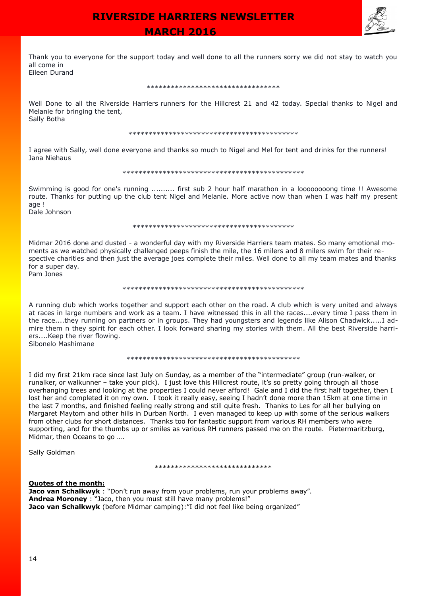## **MARCH 2016**



Thank you to everyone for the support today and well done to all the runners sorry we did not stay to watch you all come in Eileen Durand

#### \*\*\*\*\*\*\*\*\*\*\*\*\*\*\*\*\*\*\*\*\*\*\*\*\*\*\*\*\*

Well Done to all the Riverside Harriers runners for the Hillcrest 21 and 42 today. Special thanks to Nigel and Melanie for bringing the tent, Sally Botha

#### \*\*\*\*\*\*\*\*\*\*\*\*\*\*\*\*\*\*\*\*\*\*\*\*\*\*\*\*\*\*\*\*\*\*\*\*\*\*\*\*\*\*

I agree with Sally, well done everyone and thanks so much to Nigel and Mel for tent and drinks for the runners! Jana Niehaus

#### \*\*\*\*\*\*\*\*\*\*\*\*\*\*\*\*\*\*\*\*\*\*\*\*\*\*\*\*\*\*\*\*\*\*\*\*\*\*\*\*\*\*\*\*\*

Swimming is good for one's running .......... first sub 2 hour half marathon in a loooooooong time !! Awesome route. Thanks for putting up the club tent Nigel and Melanie. More active now than when I was half my present age !

Dale Johnson

#### \*\*\*\*\*\*\*\*\*\*\*\*\*\*\*\*\*\*\*\*\*\*\*\*\*\*\*\*\*\*\*\*\*\*\*\*\*\*\*\*

Midmar 2016 done and dusted - a wonderful day with my Riverside Harriers team mates. So many emotional moments as we watched physically challenged peeps finish the mile, the 16 milers and 8 milers swim for their respective charities and then just the average joes complete their miles. Well done to all my team mates and thanks for a super day.

Pam Jones

#### \*\*\*\*\*\*\*\*\*\*\*\*\*\*\*\*\*\*\*\*\*\*\*\*\*\*\*\*\*\*\*\*\*\*\*\*\*\*\*\*\*\*\*\*\*

A running club which works together and support each other on the road. A club which is very united and always at races in large numbers and work as a team. I have witnessed this in all the races....every time I pass them in the race....they running on partners or in groups. They had youngsters and legends like Alison Chadwick.....I admire them n they spirit for each other. I look forward sharing my stories with them. All the best Riverside harriers....Keep the river flowing.

Sibonelo Mashimane

#### \*\*\*\*\*\*\*\*\*\*\*\*\*\*\*\*\*\*\*\*\*\*\*\*\*\*\*\*\*\*\*\*\*\*\*\*\*\*\*\*\*\*\*

I did my first 21km race since last July on Sunday, as a member of the "intermediate" group (run-walker, or runalker, or walkunner – take your pick). I just love this Hillcrest route, it's so pretty going through all those overhanging trees and looking at the properties I could never afford! Gale and I did the first half together, then I lost her and completed it on my own. I took it really easy, seeing I hadn't done more than 15km at one time in the last 7 months, and finished feeling really strong and still quite fresh. Thanks to Les for all her bullying on Margaret Maytom and other hills in Durban North. I even managed to keep up with some of the serious walkers from other clubs for short distances. Thanks too for fantastic support from various RH members who were supporting, and for the thumbs up or smiles as various RH runners passed me on the route. Pietermaritzburg, Midmar, then Oceans to go ….

Sally Goldman

#### \*\*\*\*\*\*\*\*\*\*\*\*\*\*\*\*\*\*\*\*\*\*\*\*\*\*\*\*\*

## **Quotes of the month:**

**Jaco van Schalkwyk** : "Don't run away from your problems, run your problems away". **Andrea Moroney** : "Jaco, then you must still have many problems!" **Jaco van Schalkwyk** (before Midmar camping): "I did not feel like being organized"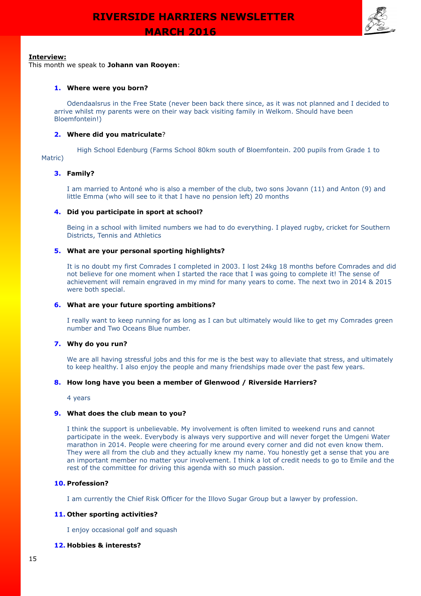

## **Interview:**

This month we speak to **Johann van Rooyen**:

## **1. Where were you born?**

Odendaalsrus in the Free State (never been back there since, as it was not planned and I decided to arrive whilst my parents were on their way back visiting family in Welkom. Should have been Bloemfontein!)

## **2. Where did you matriculate**?

High School Edenburg (Farms School 80km south of Bloemfontein. 200 pupils from Grade 1 to Matric)

## **3. Family?**

I am married to Antoné who is also a member of the club, two sons Jovann (11) and Anton (9) and little Emma (who will see to it that I have no pension left) 20 months

### **4. Did you participate in sport at school?**

Being in a school with limited numbers we had to do everything. I played rugby, cricket for Southern Districts, Tennis and Athletics

## **5. What are your personal sporting highlights?**

It is no doubt my first Comrades I completed in 2003. I lost 24kg 18 months before Comrades and did not believe for one moment when I started the race that I was going to complete it! The sense of achievement will remain engraved in my mind for many years to come. The next two in 2014 & 2015 were both special.

#### **6. What are your future sporting ambitions?**

I really want to keep running for as long as I can but ultimately would like to get my Comrades green number and Two Oceans Blue number.

#### **7. Why do you run?**

We are all having stressful jobs and this for me is the best way to alleviate that stress, and ultimately to keep healthy. I also enjoy the people and many friendships made over the past few years.

#### **8. How long have you been a member of Glenwood / Riverside Harriers?**

4 years

#### **9. What does the club mean to you?**

I think the support is unbelievable. My involvement is often limited to weekend runs and cannot participate in the week. Everybody is always very supportive and will never forget the Umgeni Water marathon in 2014. People were cheering for me around every corner and did not even know them. They were all from the club and they actually knew my name. You honestly get a sense that you are an important member no matter your involvement. I think a lot of credit needs to go to Emile and the rest of the committee for driving this agenda with so much passion.

## **10. Profession?**

I am currently the Chief Risk Officer for the Illovo Sugar Group but a lawyer by profession.

### **11. Other sporting activities?**

I enjoy occasional golf and squash

## **12. Hobbies & interests?**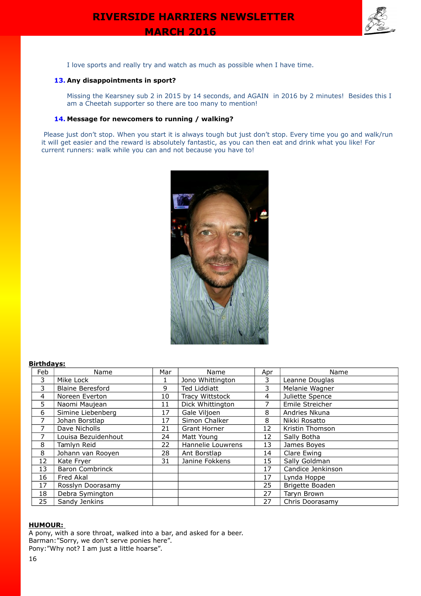

I love sports and really try and watch as much as possible when I have time.

## **13. Any disappointments in sport?**

Missing the Kearsney sub 2 in 2015 by 14 seconds, and AGAIN in 2016 by 2 minutes! Besides this I am a Cheetah supporter so there are too many to mention!

## **14. Message for newcomers to running / walking?**

Please just don't stop. When you start it is always tough but just don't stop. Every time you go and walk/run it will get easier and the reward is absolutely fantastic, as you can then eat and drink what you like! For current runners: walk while you can and not because you have to!



## **Birthdays:**

| Feb | Name                    | Mar | Name              | Apr | Name              |
|-----|-------------------------|-----|-------------------|-----|-------------------|
| 3   | Mike Lock               |     | Jono Whittington  | 3   | Leanne Douglas    |
| 3   | <b>Blaine Beresford</b> | 9   | Ted Liddiatt      | 3   | Melanie Wagner    |
| 4   | Noreen Everton          | 10  | Tracy Wittstock   | 4   | Juliette Spence   |
| 5   | Naomi Maujean           | 11  | Dick Whittington  | 7   | Emile Streicher   |
| 6   | Simine Liebenberg       | 17  | Gale Viljoen      | 8   | Andries Nkuna     |
| 7   | Johan Borstlap          | 17  | Simon Chalker     | 8   | Nikki Rosatto     |
| 7   | Dave Nicholls           | 21  | Grant Horner      | 12  | Kristin Thomson   |
| 7   | Louisa Bezuidenhout     | 24  | Matt Young        | 12  | Sally Botha       |
| 8   | Tamlyn Reid             | 22  | Hannelie Louwrens | 13  | James Boyes       |
| 8   | Johann van Rooyen       | 28  | Ant Borstlap      | 14  | Clare Ewing       |
| 12  | Kate Fryer              | 31  | Janine Fokkens    | 15  | Sally Goldman     |
| 13  | <b>Baron Combrinck</b>  |     |                   | 17  | Candice Jenkinson |
| 16  | Fred Akal               |     |                   | 17  | Lynda Hoppe       |
| 17  | Rosslyn Doorasamy       |     |                   | 25  | Brigette Boaden   |
| 18  | Debra Symington         |     |                   | 27  | Taryn Brown       |
| 25  | Sandy Jenkins           |     |                   | 27  | Chris Doorasamy   |

#### **HUMOUR:**

A pony, with a sore throat, walked into a bar, and asked for a beer. Barman:"Sorry, we don't serve ponies here". Pony:"Why not? I am just a little hoarse".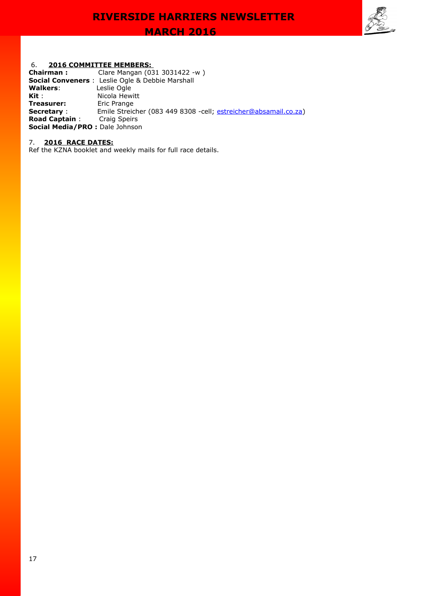

## 6. **2016 COMMITTEE MEMBERS:**

| Chairman:                      | Clare Mangan (031 3031422 -w)                                    |
|--------------------------------|------------------------------------------------------------------|
|                                | <b>Social Conveners</b> : Leslie Ogle & Debbie Marshall          |
| Walkers:                       | Leslie Ogle                                                      |
| Kit :                          | Nicola Hewitt                                                    |
| Treasurer:                     | Eric Prange                                                      |
| <b>Secretary:</b>              | Emile Streicher (083 449 8308 - cell; estreicher@absamail.co.za) |
| <b>Road Captain:</b>           | <b>Craig Speirs</b>                                              |
| Social Media/PRO: Dale Johnson |                                                                  |

### 7. **2016 RACE DATES:**

Ref the KZNA booklet and weekly mails for full race details.